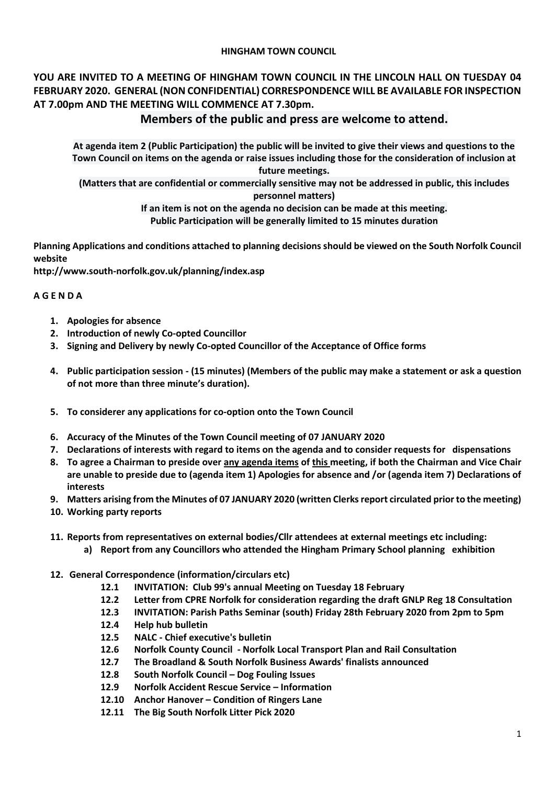### **HINGHAM TOWN COUNCIL**

## **YOU ARE INVITED TO A MEETING OF HINGHAM TOWN COUNCIL IN THE LINCOLN HALL ON TUESDAY 04 FEBRUARY 2020. GENERAL (NON CONFIDENTIAL) CORRESPONDENCE WILL BE AVAILABLE FOR INSPECTION AT 7.00pm AND THE MEETING WILL COMMENCE AT 7.30pm.**

# **Members of the public and press are welcome to attend.**

**At agenda item 2 (Public Participation) the public will be invited to give their views and questions to the Town Council on items on the agenda or raise issues including those for the consideration of inclusion at future meetings.**

**(Matters that are confidential or commercially sensitive may not be addressed in public, this includes personnel matters)**

> **If an item is not on the agenda no decision can be made at this meeting. Public Participation will be generally limited to 15 minutes duration**

**Planning Applications and conditions attached to planning decisions should be viewed on the South Norfolk Council website** 

**<http://www.south-norfolk.gov.uk/planning/index.asp>**

## **A G E N D A**

- **1. Apologies for absence**
- **2. Introduction of newly Co-opted Councillor**
- **3. Signing and Delivery by newly Co-opted Councillor of the Acceptance of Office forms**
- **4. Public participation session - (15 minutes) (Members of the public may make a statement or ask a question of not more than three minute's duration).**
- **5. To considerer any applications for co-option onto the Town Council**
- **6. Accuracy of the Minutes of the Town Council meeting of 07 JANUARY 2020**
- **7. Declarations of interests with regard to items on the agenda and to consider requests for dispensations**
- **8. To agree a Chairman to preside over any agenda items of this meeting, if both the Chairman and Vice Chair are unable to preside due to (agenda item 1) Apologies for absence and /or (agenda item 7) Declarations of interests**
- **9. Matters arising from the Minutes of 07 JANUARY 2020 (written Clerksreport circulated prior to the meeting)**
- **10. Working party reports**
- **11. Reports from representatives on external bodies/Cllr attendees at external meetings etc including:**
	- **a) Report from any Councillors who attended the Hingham Primary School planning exhibition**
- **12. General Correspondence (information/circulars etc)**
	- **12.1 INVITATION: Club 99's annual Meeting on Tuesday 18 February**
	- **12.2 Letter from CPRE Norfolk for consideration regarding the draft GNLP Reg 18 Consultation**
	- **12.3 INVITATION: Parish Paths Seminar (south) Friday 28th February 2020 from 2pm to 5pm**
	- **12.4 Help hub bulletin**
	- **12.5 NALC - Chief executive's bulletin**
	- **12.6 Norfolk County Council - Norfolk Local Transport Plan and Rail Consultation**
	- **12.7 The Broadland & South Norfolk Business Awards' finalists announced**
	- **12.8 South Norfolk Council – Dog Fouling Issues**
	- **12.9 Norfolk Accident Rescue Service – Information**
	- **12.10 Anchor Hanover – Condition of Ringers Lane**
	- **12.11 The Big South Norfolk Litter Pick 2020**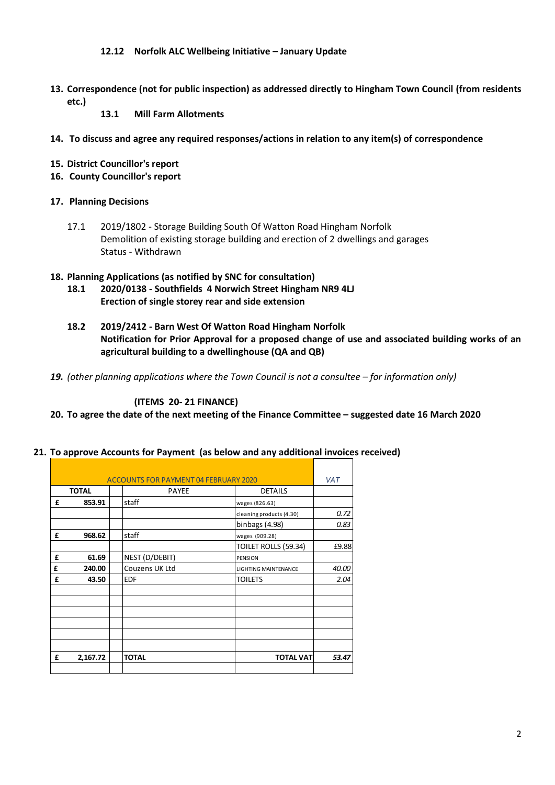#### **12.12 Norfolk ALC Wellbeing Initiative – January Update**

- **13. Correspondence (not for public inspection) as addressed directly to Hingham Town Council (from residents etc.)**
	- **13.1 Mill Farm Allotments**
- **14. To discuss and agree any required responses/actions in relation to any item(s) of correspondence**
- **15. District Councillor's report**
- **16. County Councillor's report**
- **17. Planning Decisions**
	- 17.1 2019/1802 Storage Building South Of Watton Road Hingham Norfolk Demolition of existing storage building and erection of 2 dwellings and garages Status - Withdrawn

#### **18. Planning Applications (as notified by SNC for consultation)**

- **18.1 2020/0138 - Southfields 4 Norwich Street Hingham NR9 4LJ Erection of single storey rear and side extension**
- **18.2 2019/2412 - Barn West Of Watton Road Hingham Norfolk Notification for Prior Approval for a proposed change of use and associated building works of an agricultural building to a dwellinghouse (QA and QB)**
- 19. *(other planning applications where the Town Council is not a consultee for information only)*

**(ITEMS 20- 21 FINANCE)**

#### **20. To agree the date of the next meeting of the Finance Committee – suggested date 16 March 2020**

| <b>ACCOUNTS FOR PAYMENT 04 FEBRUARY 2020</b> |          |                |                             | <b>VAT</b> |
|----------------------------------------------|----------|----------------|-----------------------------|------------|
| <b>TOTAL</b>                                 |          | <b>PAYEE</b>   | <b>DETAILS</b>              |            |
| £                                            | 853.91   | staff          | wages (826.63)              |            |
|                                              |          |                | cleaning products (4.30)    | 0.72       |
|                                              |          |                | binbags $(4.98)$            | 0.83       |
| £                                            | 968.62   | staff          | wages (909.28)              |            |
|                                              |          |                | TOILET ROLLS (59.34)        | £9.88      |
| £                                            | 61.69    | NEST (D/DEBIT) | PENSION                     |            |
| £                                            | 240.00   | Couzens UK Ltd | <b>LIGHTING MAINTENANCE</b> | 40.00      |
| £                                            | 43.50    | <b>EDF</b>     | <b>TOILETS</b>              | 2.04       |
|                                              |          |                |                             |            |
|                                              |          |                |                             |            |
|                                              |          |                |                             |            |
|                                              |          |                |                             |            |
|                                              |          |                |                             |            |
|                                              |          |                |                             |            |
| £                                            | 2,167.72 | <b>TOTAL</b>   | <b>TOTAL VAT</b>            | 53.47      |
|                                              |          |                |                             |            |
|                                              |          |                |                             |            |

**21. To approve Accounts for Payment (as below and any additional invoices received)**